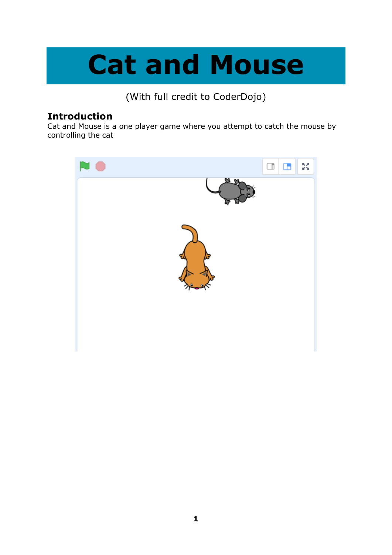# **Cat and Mouse**

(With full credit to CoderDojo)

#### **Introduction**

Cat and Mouse is a one player game where you attempt to catch the mouse by controlling the cat

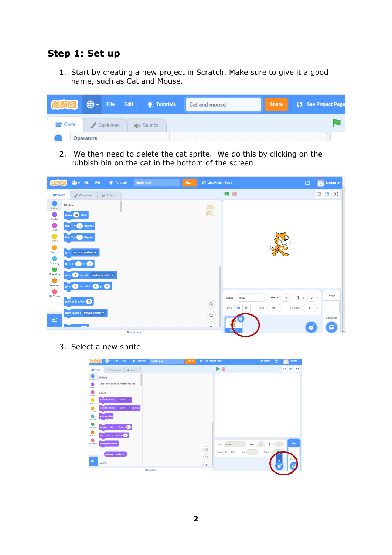#### **Step 1: Set up**

1. Start by creating a new project in Scratch. Make sure to give it a good name, such as Cat and Mouse.

|                  | $\bigoplus$ -    | File Edit : C Tutorials       | Cat and mouse | Share | (5 See Project Page |
|------------------|------------------|-------------------------------|---------------|-------|---------------------|
| <b>Sept Code</b> | Costumes         | $\left  \cdot \right $ Sounds |               |       |                     |
|                  | <b>Operators</b> |                               |               |       |                     |

2. We then need to delete the cat sprite. We do this by clicking on the rubbish bin on the cat in the bottom of the screen



3. Select a new sprite

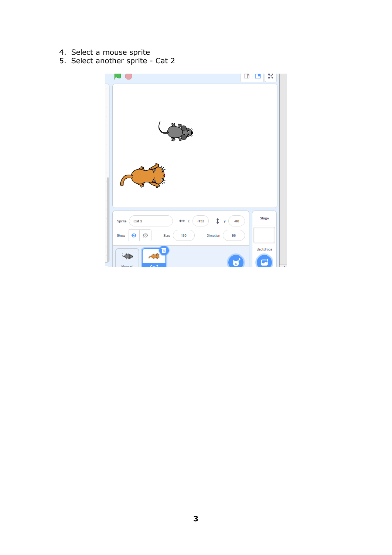- 4. Select a mouse sprite
- 5. Select another sprite Cat 2

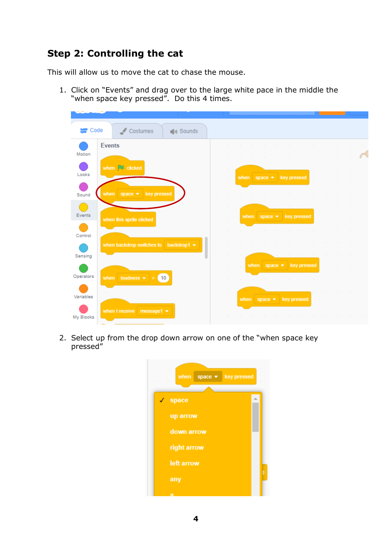## **Step 2: Controlling the cat**

This will allow us to move the cat to chase the mouse.

1. Click on "Events" and drag over to the large white pace in the middle the "when space key pressed". Do this 4 times.

| Code      |               | Costumes                              |                    | (b) Sounds |                  |        |      |                             |                             |  |        |        |        |
|-----------|---------------|---------------------------------------|--------------------|------------|------------------|--------|------|-----------------------------|-----------------------------|--|--------|--------|--------|
| Motion    | <b>Events</b> |                                       |                    |            | $\sim$           |        |      |                             |                             |  |        | $\sim$ | $\sim$ |
| Looks     |               | when <b>U</b> clicked                 |                    |            | $\sim$           |        | when | space $\bullet$ key pressed |                             |  |        |        |        |
| Sound     |               | when $space \rightarrow key pressed$  |                    |            | $\sim$<br>$\sim$ |        |      |                             |                             |  |        |        |        |
| Events    |               | when this sprite clicked              |                    |            | $\sim$           |        | when | space *                     | key pressed                 |  | $\sim$ |        |        |
| Control   |               |                                       |                    |            |                  |        |      |                             |                             |  |        |        |        |
| Sensing   |               | when backdrop switches to backdrop1 = |                    |            |                  |        |      |                             |                             |  |        |        |        |
| Operators |               | when loudness $\bullet$ >             | $\sqrt{10}$        |            | $\sim$           |        |      | when                        | space $\bullet$ key pressed |  |        |        |        |
| Variables |               |                                       |                    |            | $\sim$           | $\sim$ | when | space $\bullet$             | key pressed                 |  |        |        |        |
| My Blocks |               | when I receive                        | message1 $\bullet$ |            |                  |        |      |                             |                             |  |        |        |        |

2. Select up from the drop down arrow on one of the "when space key pressed"

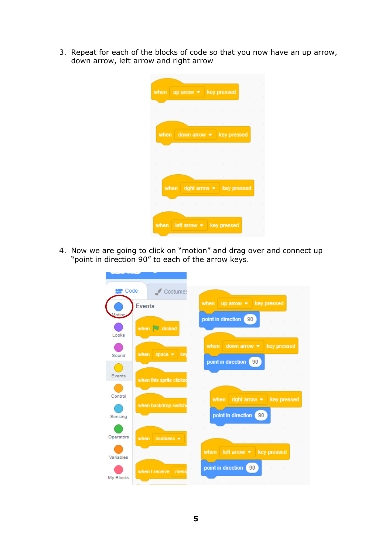3. Repeat for each of the blocks of code so that you now have an up arrow, down arrow, left arrow and right arrow

|           |                                                                 |        |                         |                |                                        | ×         |
|-----------|-----------------------------------------------------------------|--------|-------------------------|----------------|----------------------------------------|-----------|
| when      | $uparrow$ $\bullet$                                             |        |                         | key pressed    |                                        | ×         |
|           | the contract of the contract of the contract of the contract of |        |                         |                |                                        | $\bar{z}$ |
|           |                                                                 |        |                         |                |                                        |           |
| when      |                                                                 |        |                         |                | the control of the control of the con- | $\sim$    |
|           | down arrow $\bullet$                                            |        |                         |                | key pressed                            |           |
|           | the contract of the contract of the contract of the contract of |        |                         |                |                                        |           |
| $\sim$    | the contract of the contract of the contract of the contract of |        |                         |                |                                        |           |
| ×         |                                                                 | $\sim$ | the control of the con- | the control of | <b>All College</b>                     | $\sim$    |
| when<br>è |                                                                 |        | $right arrow \cdot$     |                | key pressed                            |           |
| $\sim$    | the contract of the contract of the contract of the contract of |        |                         |                |                                        |           |
|           |                                                                 |        |                         |                |                                        | ٠         |
| when      | left arrow $\bullet$                                            |        |                         | key pressed    |                                        | ٠         |
|           |                                                                 |        |                         |                |                                        |           |

4. Now we are going to click on "motion" and drag over and connect up "point in direction 90" to each of the arrow keys.

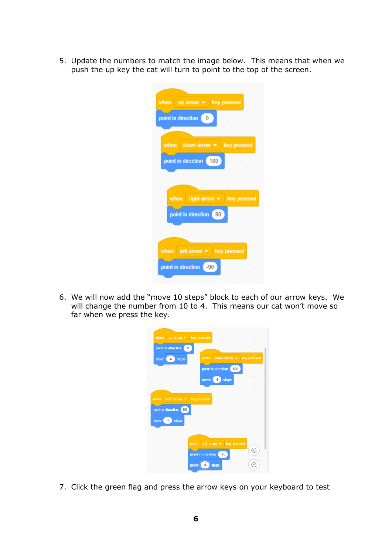5. Update the numbers to match the image below. This means that when we push the up key the cat will turn to point to the top of the screen.

| when up arrow $\bullet$ key pressed                                 |
|---------------------------------------------------------------------|
| point in direction (0)<br>and the state                             |
| $\sim 10^{-10}$<br>and the state<br>$\bar{\pi}$                     |
| key pressed<br>when down arrow $\bullet$                            |
| point in direction (180)<br>h.<br>the contract of the               |
| and the company of the company of the company of                    |
| $\sim$<br><b>Contract State</b>                                     |
| when right arrow • key pressed                                      |
| point in direction 90<br>$\sim$<br>×                                |
| The company of the company of                                       |
|                                                                     |
| when $leftarrow$ left arrow $\bullet$<br>key pressed                |
| point in direction (-90)<br>and the state                           |
| the control of the control of<br>$\sim$ 100 $\pm$<br>$\bar{z}$<br>k |

6. We will now add the "move 10 steps" block to each of our arrow keys. We will change the number from 10 to 4. This means our cat won't move so far when we press the key.

|                    |   |                    | when $uparrow \bullet$ key pressed     |                                        |                                  |        |        |           |           |
|--------------------|---|--------------------|----------------------------------------|----------------------------------------|----------------------------------|--------|--------|-----------|-----------|
|                    |   | point in direction | $\overline{0}$                         |                                        |                                  | $\sim$ | $\sim$ | $\sim$    | $\sim$    |
| move               | 4 | steps              |                                        | when                                   | down arrow $\bullet$ key pressed |        |        |           |           |
|                    |   | $\sim$             | ×                                      |                                        | point in direction (180          |        |        | $\bar{z}$ |           |
|                    |   |                    |                                        | move                                   | 4                                | steps  |        |           |           |
|                    |   |                    |                                        |                                        |                                  |        |        |           |           |
| when               |   |                    | $right arrow \cdot \text{key pressed}$ |                                        |                                  |        |        |           | ×         |
| point in direction |   |                    | 90                                     |                                        |                                  |        |        |           | $\lambda$ |
| move               | 4 | steps              |                                        |                                        |                                  |        |        |           | $\sim$    |
| $\sim$             | × | ×<br>÷             |                                        | $\sim$                                 |                                  |        |        |           |           |
|                    |   | $\sim$             | ×                                      | when $leftarrow$ $\bullet$ key pressed |                                  |        |        |           |           |
|                    |   | $\sim$             |                                        | point in direction                     | $-90$                            |        |        |           | ×         |
|                    |   |                    | move<br>$\sim$                         | 4                                      | steps                            |        |        |           |           |

7. Click the green flag and press the arrow keys on your keyboard to test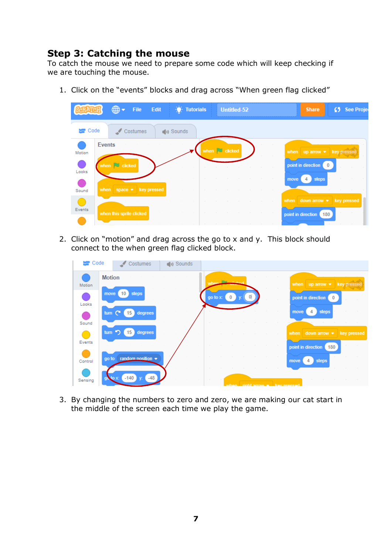#### **Step 3: Catching the mouse**

To catch the mouse we need to prepare some code which will keep checking if we are touching the mouse.

1. Click on the "events" blocks and drag across "When green flag clicked"



2. Click on "motion" and drag across the go to x and y. This block should connect to the when green flag clicked block.

| Code    | Costumes                                       | (b) Sounds |          |                   |                                                    |                                       |
|---------|------------------------------------------------|------------|----------|-------------------|----------------------------------------------------|---------------------------------------|
| Motion  | <b>Motion</b>                                  |            |          | <b>Preference</b> |                                                    | when $uparrow$ $\star$ key pressed    |
| Looks   | 10 <sup>°</sup><br>steps<br>move               |            | go to x: | 0                 |                                                    | point in direction                    |
| Sound   | tum $C^*$<br>degrees<br>15 <sub>1</sub>        |            |          |                   | <b>Contract</b>                                    | steps<br>4<br>move                    |
| Events  | tum $\bigcirc$<br>degrees<br>15 <sub>1</sub>   |            | $\sim$   |                   | the contract of the con-                           | when down arrow $\bullet$ key pressed |
|         | random position $\blacktriangleright$<br>go to |            |          |                   | <b>Contract Contract</b><br>and the con-<br>$\sim$ | point in direction<br>180             |
| Control |                                                |            |          |                   |                                                    | steps<br>move<br>4                    |
| Sensing | $-140$<br>$-48$<br>$\log x$<br>$\mathbf{V}$    |            |          |                   | when right small will have preceed                 |                                       |

3. By changing the numbers to zero and zero, we are making our cat start in the middle of the screen each time we play the game.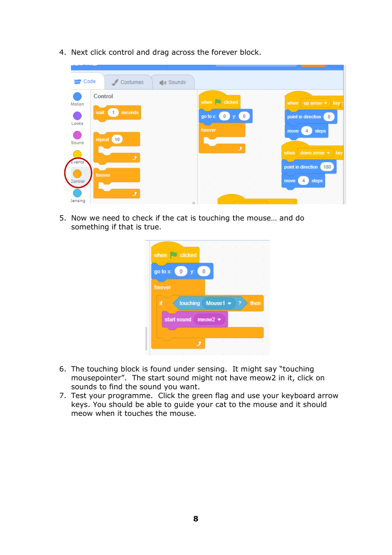- **SEP** Code  $\triangle$  Costumes (b) Sounds Control when  $\Box$  clicked when  $uparrow$   $\bullet$  key Motion wait 1 seconds go to  $x: (0)$  y:  $(0)$ point in direction 0 Looks move 4 steps repeat (10) Sound when down arrow  $\bullet$  key vent point in direction (180) move 4 steps Sensing
- 4. Next click control and drag across the forever block.

5. Now we need to check if the cat is touching the mouse… and do something if that is true.

|         | when <b>clicked</b>                                                                       |  |   | .                                                                                  |
|---------|-------------------------------------------------------------------------------------------|--|---|------------------------------------------------------------------------------------|
|         | go to x: $\begin{pmatrix} 0 \\ y \end{pmatrix}$ y: $\begin{pmatrix} 0 \\ 0 \end{pmatrix}$ |  |   | and the state of the state of the state<br>and the state of the state of the state |
| forever |                                                                                           |  |   | .                                                                                  |
| ïf      | touching Mouse1 •                                                                         |  | 7 | then                                                                               |
|         | start sound meow2 $\blacktriangleright$                                                   |  |   | and the state of the state of                                                      |
|         |                                                                                           |  |   | and the state of the state of the state of                                         |
|         |                                                                                           |  |   |                                                                                    |

- 6. The touching block is found under sensing. It might say "touching mousepointer". The start sound might not have meow2 in it, click on sounds to find the sound you want.
- 7. Test your programme. Click the green flag and use your keyboard arrow keys. You should be able to guide your cat to the mouse and it should meow when it touches the mouse.